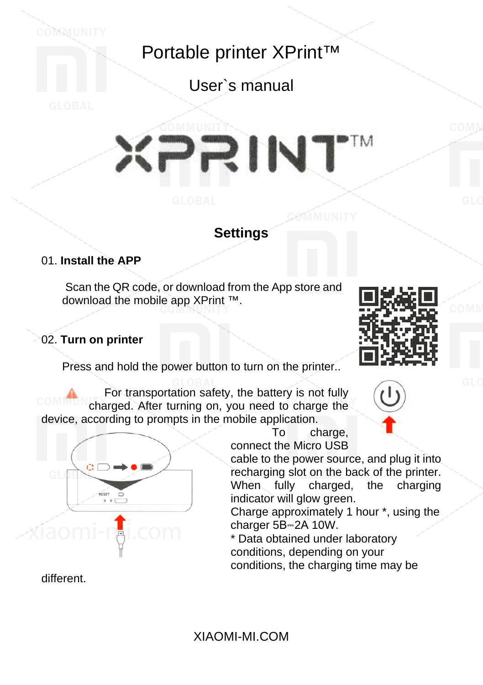Portable printer XPrint™

User`s manual

# **PTM** RINT

### **Settings**

#### 01. **Install the APP**

Scan the QR code, or download from the App store and download the mobile app XPrint ™.

#### 02. **Turn on printer**

Press and hold the power button to turn on the printer...

For transportation safety, the battery is not fully charged. After turning on, you need to charge the device, according to prompts in the mobile application.





To charge, connect the Micro USB

cable to the power source, and plug it into recharging slot on the back of the printer. When fully charged, the charging indicator will glow green.

Charge approximately 1 hour \*, using the charger 5B-2A 10W.

\* Data obtained under laboratory conditions, depending on your conditions, the charging time may be

different.

XIAOMI-MI.COM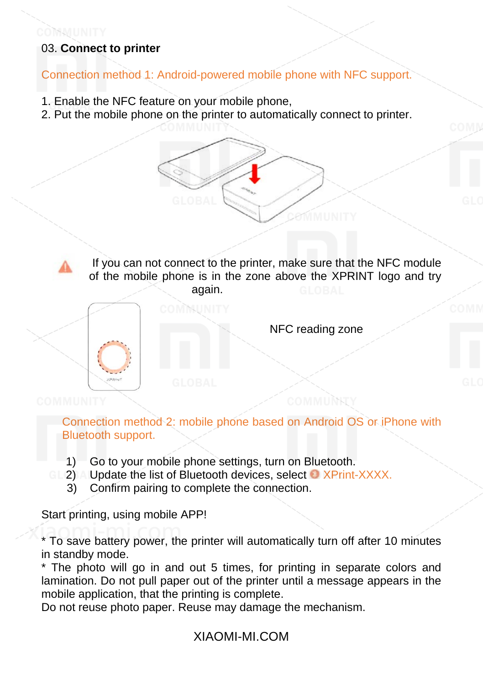# 03. **Connect to printer**

Connection method 1: Android-powered mobile phone with NFC support.

- 1. Enable the NFC feature on your mobile phone,
- 2. Put the mobile phone on the printer to automatically connect to printer.

If you can not connect to the printer, make sure that the NFC module of the mobile phone is in the zone above the XPRINT logo and try again.



NFC reading zone

Connection method 2: mobile phone based on Android OS or iPhone with Bluetooth support.

1) Go to your mobile phone settings, turn on Bluetooth.

) M MUNITY

- 2) Update the list of Bluetooth devices, select O XPrint-XXXX.
- 3) Confirm pairing to complete the connection.

Start printing, using mobile APP!

\* To save battery power, the printer will automatically turn off after 10 minutes in standby mode.

\* The photo will go in and out 5 times, for printing in separate colors and lamination. Do not pull paper out of the printer until a message appears in the mobile application, that the printing is complete.

Do not reuse photo paper. Reuse may damage the mechanism.

### XIAOMI-MI.COM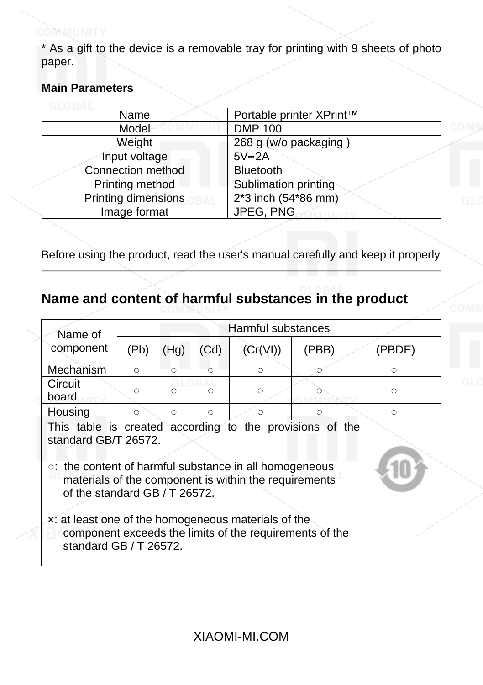\* As a gift to the device is a removable tray for printing with 9 sheets of photo paper.

#### **Main Parameters**

| Name                | Portable printer XPrint™ |
|---------------------|--------------------------|
| Model               | <b>DMP 100</b>           |
| Weight              | 268 g (w/o packaging)    |
| Input voltage       | $5V - 2A$                |
| Connection method   | <b>Bluetooth</b>         |
| Printing method     | Sublimation printing     |
| Printing dimensions | 2*3 inch (54*86 mm)      |
| Image format        | JPEG, PNG                |
|                     |                          |

Before using the product, read the user's manual carefully and keep it properly

# **Name and content of harmful substances in the product**

| Name of                                                                                                                                                                                                                                                                                                                                                                          | Harmful substances |            |            |            |          |            |
|----------------------------------------------------------------------------------------------------------------------------------------------------------------------------------------------------------------------------------------------------------------------------------------------------------------------------------------------------------------------------------|--------------------|------------|------------|------------|----------|------------|
| component                                                                                                                                                                                                                                                                                                                                                                        | (Pb)               | (Hg)       | (Cd)       | (Cr(VI))   | (PBB)    | (PBDE)     |
| Mechanism                                                                                                                                                                                                                                                                                                                                                                        | $\bigcirc$         | $\bigcap$  | $\bigcap$  | $\bigcirc$ | $\Omega$ | $\circ$    |
| Circuit<br>board                                                                                                                                                                                                                                                                                                                                                                 | ∩                  | ∩          |            | $\circ$    |          | $\circ$    |
| Housing                                                                                                                                                                                                                                                                                                                                                                          | $\circ$            | $\bigcirc$ | $\bigcirc$ | $\circ$    | $\circ$  | $\bigcirc$ |
| This table is created according to the provisions of the<br>standard GB/T 26572.<br>o: the content of harmful substance in all homogeneous<br>materials of the component is within the requirements<br>of the standard GB / T 26572.<br>x: at least one of the homogeneous materials of the<br>component exceeds the limits of the requirements of the<br>standard GB / T 26572. |                    |            |            |            |          |            |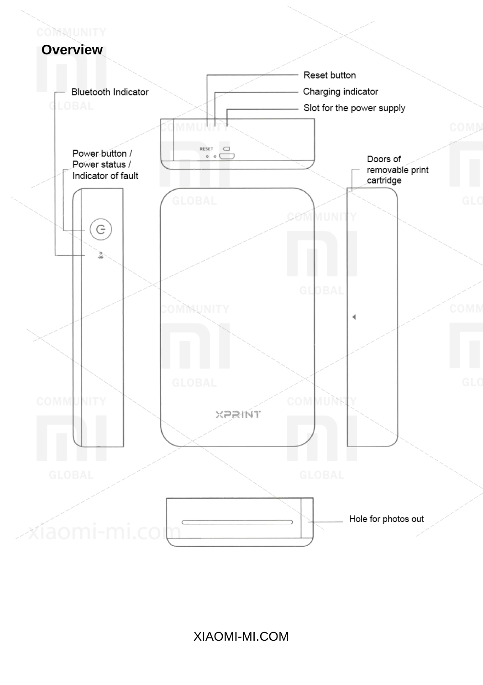### COMMUNITY **Overview**

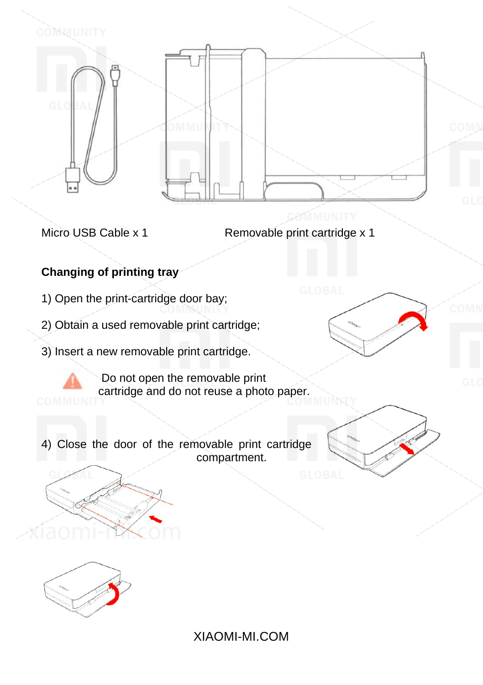

Micro USB Cable x 1 Removable print cartridge x 1

# **Changing of printing tray**

- 1) Open the print-cartridge door bay;
- 2) Obtain a used removable print cartridge;
- 3) Insert a new removable print cartridge.

Do not open the removable print cartridge and do not reuse a photo paper.

4) Close the door of the removable print cartridge compartment.







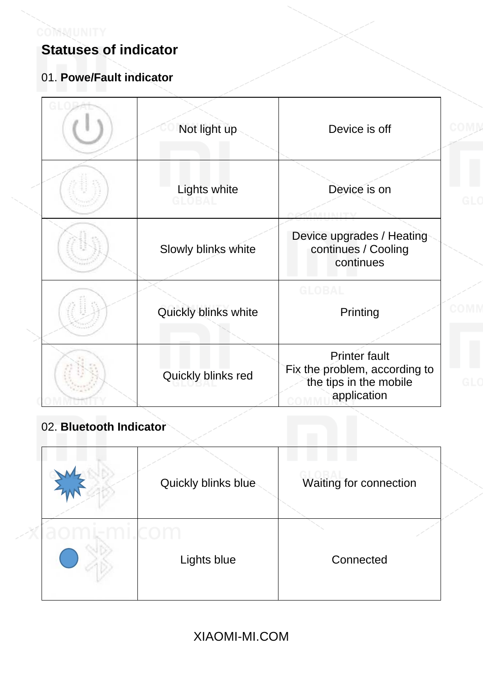

# **Statuses of indicator**

# 01. **Powe/Fault indicator**

| Not light up         | Device is off                                                                                  |
|----------------------|------------------------------------------------------------------------------------------------|
| Lights white         | Device is on                                                                                   |
| Slowly blinks white  | Device upgrades / Heating<br>continues / Cooling<br>continues                                  |
| Quickly blinks white | <b>GLOBAL</b><br>Printing                                                                      |
| Quickly blinks red   | <b>Printer fault</b><br>Fix the problem, according to<br>the tips in the mobile<br>application |

# 02. **Bluetooth Indicator**

| Quickly blinks blue | Waiting for connection |
|---------------------|------------------------|
| Lights blue         | Connected              |